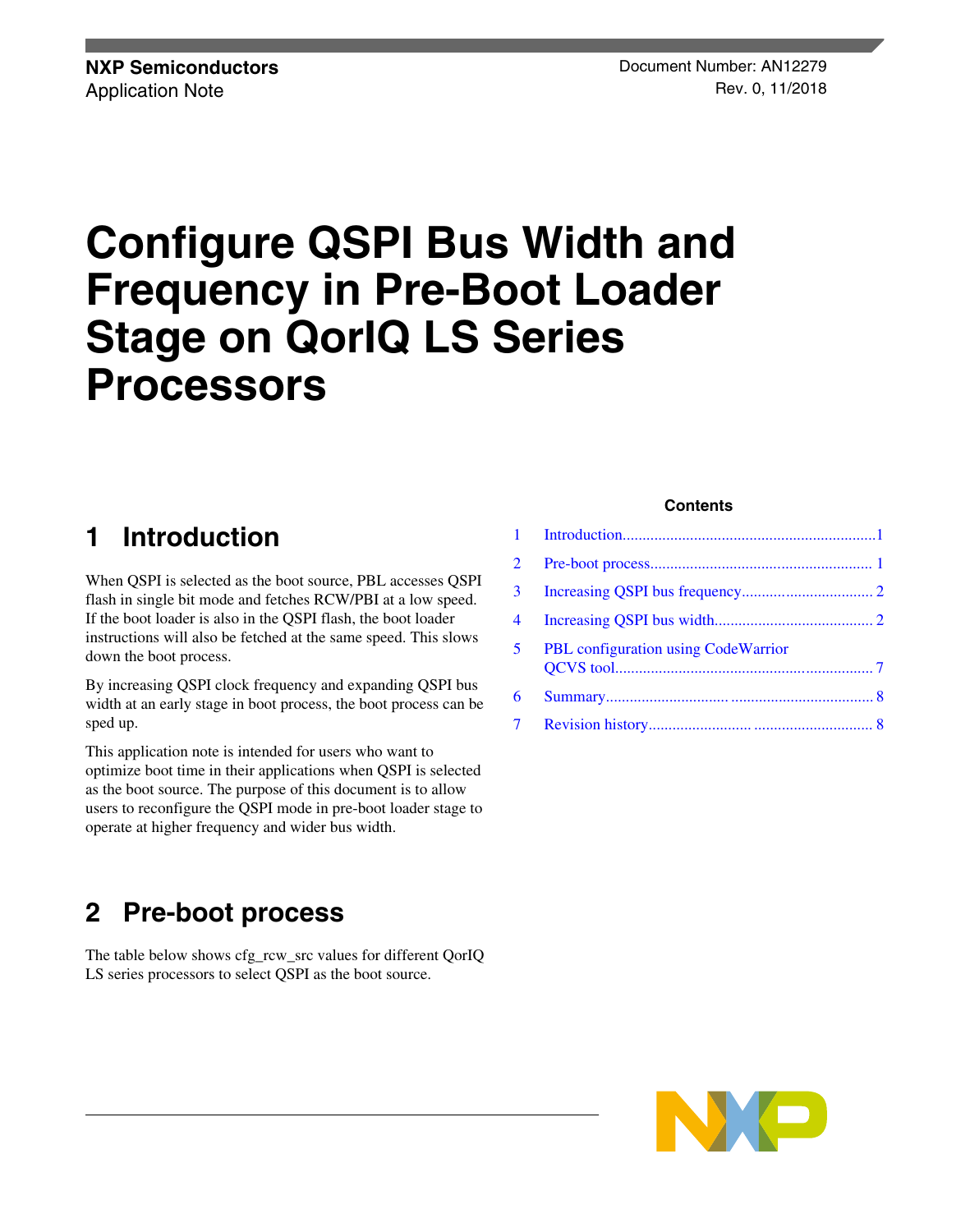# **Configure QSPI Bus Width and Frequency in Pre-Boot Loader Stage on QorIQ LS Series Processors**

# **1 Introduction**

When QSPI is selected as the boot source, PBL accesses QSPI flash in single bit mode and fetches RCW/PBI at a low speed. If the boot loader is also in the QSPI flash, the boot loader instructions will also be fetched at the same speed. This slows down the boot process.

By increasing QSPI clock frequency and expanding QSPI bus width at an early stage in boot process, the boot process can be sped up.

This application note is intended for users who want to optimize boot time in their applications when QSPI is selected as the boot source. The purpose of this document is to allow users to reconfigure the QSPI mode in pre-boot loader stage to operate at higher frequency and wider bus width.

# **2 Pre-boot process**

The table below shows cfg\_rcw\_src values for different QorIQ LS series processors to select QSPI as the boot source.

### **Contents**

| 3 <sup>1</sup> |                                             |  |
|----------------|---------------------------------------------|--|
| 4              |                                             |  |
| 5              | <b>PBL</b> configuration using Code Warrior |  |
| 6              |                                             |  |
| 7              |                                             |  |
|                |                                             |  |

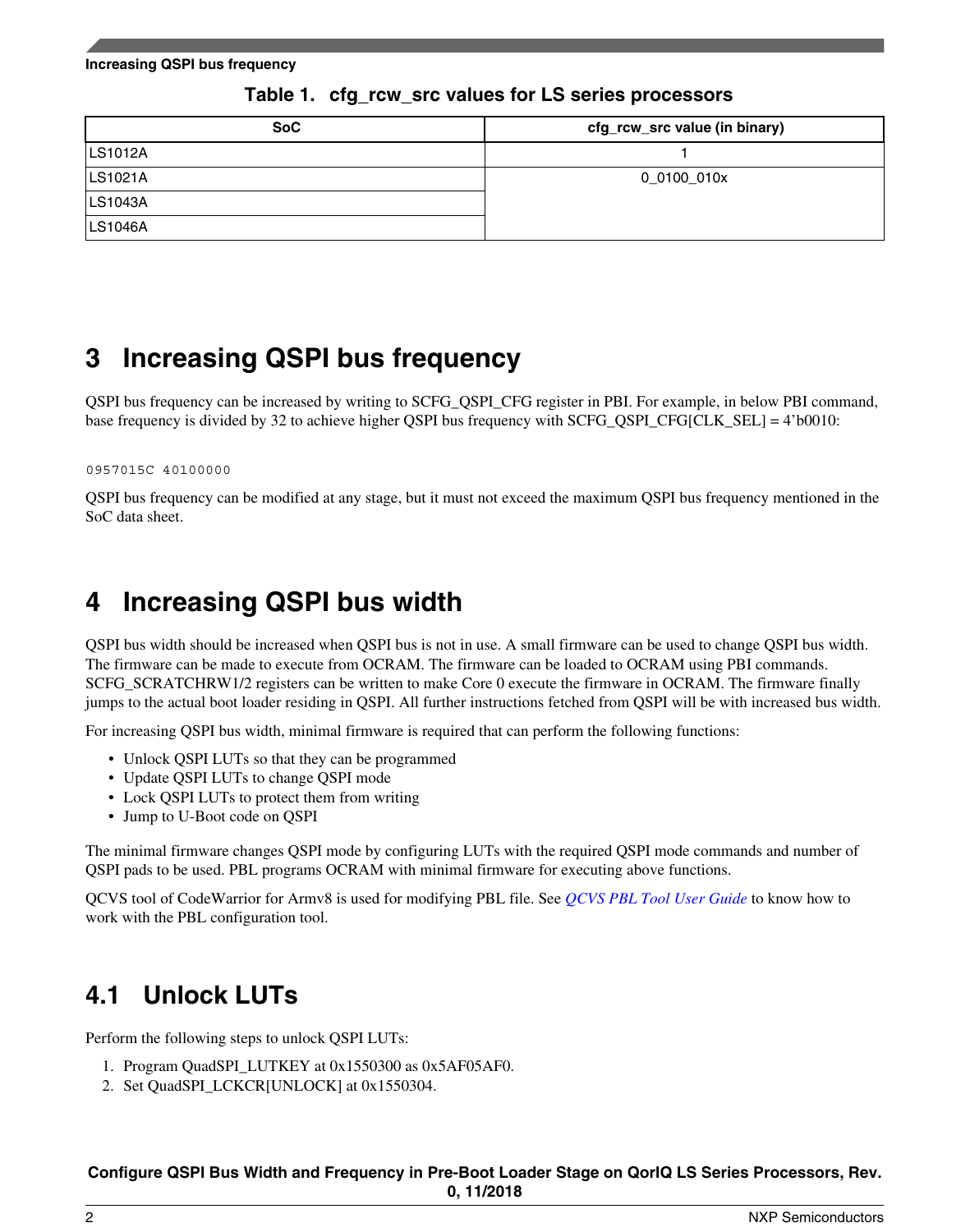<span id="page-1-0"></span>**Increasing QSPI bus frequency**

| <b>SoC</b> | cfg_rcw_src value (in binary) |
|------------|-------------------------------|
| LS1012A    |                               |
| LS1021A    | 0_0100_010x                   |
| LS1043A    |                               |
| LS1046A    |                               |

### **Table 1. cfg\_rcw\_src values for LS series processors**

# **3 Increasing QSPI bus frequency**

QSPI bus frequency can be increased by writing to SCFG\_QSPI\_CFG register in PBI. For example, in below PBI command, base frequency is divided by 32 to achieve higher QSPI bus frequency with SCFG\_QSPI\_CFG[CLK\_SEL] = 4'b0010:

#### 0957015C 40100000

QSPI bus frequency can be modified at any stage, but it must not exceed the maximum QSPI bus frequency mentioned in the SoC data sheet.

## **4 Increasing QSPI bus width**

QSPI bus width should be increased when QSPI bus is not in use. A small firmware can be used to change QSPI bus width. The firmware can be made to execute from OCRAM. The firmware can be loaded to OCRAM using PBI commands. SCFG\_SCRATCHRW1/2 registers can be written to make Core 0 execute the firmware in OCRAM. The firmware finally jumps to the actual boot loader residing in QSPI. All further instructions fetched from QSPI will be with increased bus width.

For increasing QSPI bus width, minimal firmware is required that can perform the following functions:

- Unlock OSPI LUTs so that they can be programmed
- Update QSPI LUTs to change QSPI mode
- Lock QSPI LUTs to protect them from writing
- Jump to U-Boot code on QSPI

The minimal firmware changes QSPI mode by configuring LUTs with the required QSPI mode commands and number of QSPI pads to be used. PBL programs OCRAM with minimal firmware for executing above functions.

QCVS tool of CodeWarrior for Armv8 is used for modifying PBL file. See *[QCVS PBL Tool User Guide](https://www.nxp.com/docs/en/user-guide/QCVS_PBL_User_Guide.pdf)* to know how to work with the PBL configuration tool.

### **4.1 Unlock LUTs**

Perform the following steps to unlock QSPI LUTs:

- 1. Program QuadSPI\_LUTKEY at 0x1550300 as 0x5AF05AF0.
- 2. Set QuadSPI\_LCKCR[UNLOCK] at 0x1550304.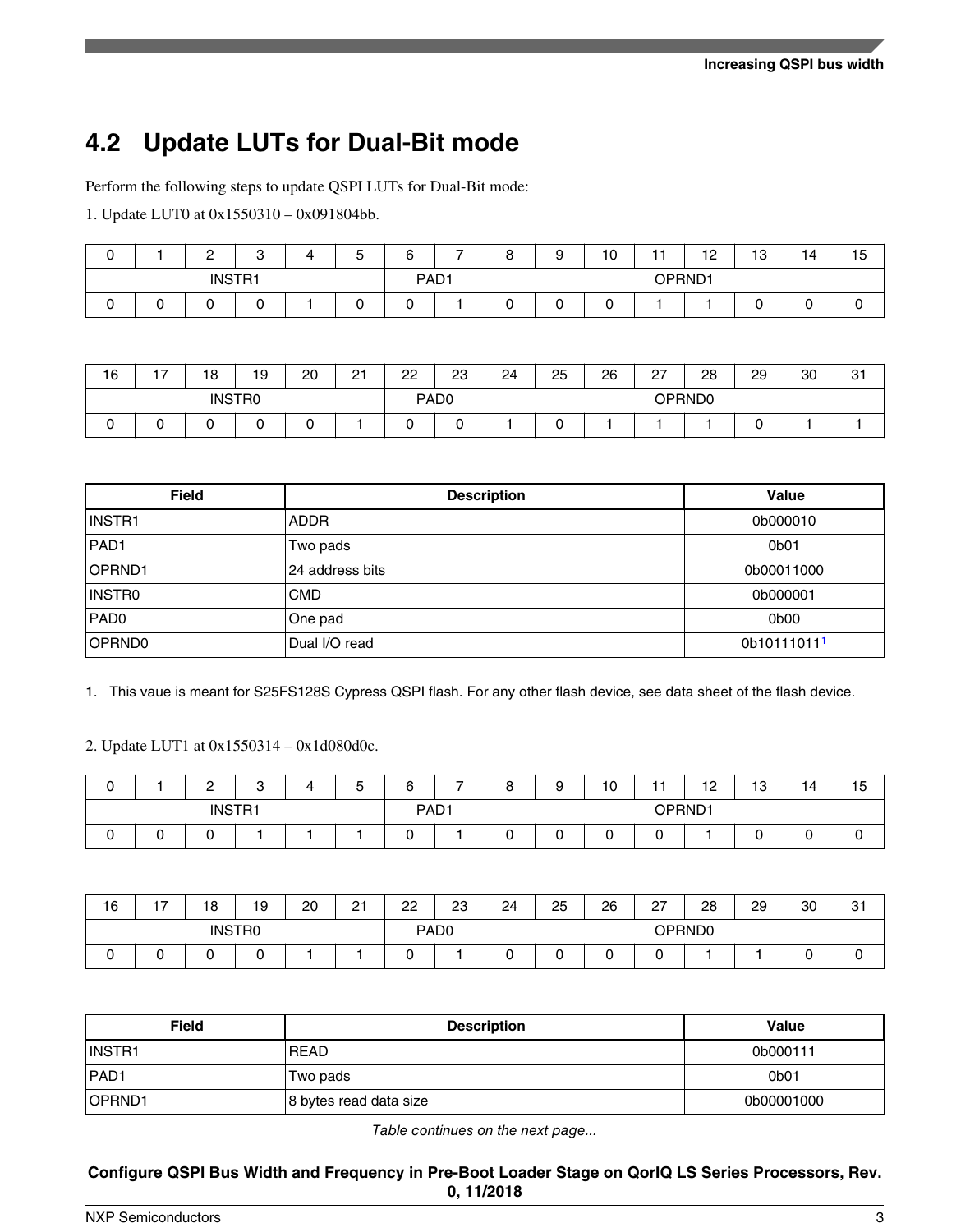# **4.2 Update LUTs for Dual-Bit mode**

Perform the following steps to update QSPI LUTs for Dual-Bit mode:

1. Update LUT0 at 0x1550310 – 0x091804bb.

|               |  | $\epsilon$<br><u>_</u> | C<br>ບ | 4 | -<br>∽<br>ັ | ⌒<br>6 | - | $\circ$<br>o | a | 10 | . .    | 12 | 10<br>10 | 14 | 15 |
|---------------|--|------------------------|--------|---|-------------|--------|---|--------------|---|----|--------|----|----------|----|----|
| <b>INSTR1</b> |  |                        |        |   | PAD1        |        |   |              |   |    | OPRND1 |    |          |    |    |
| ◡             |  |                        |        |   |             |        |   | ◡            |   |    |        |    |          | ◡  |    |

| 16            | $\rightarrow$<br>. . | 18 | 19 | 20 | $\sim$<br>∠ | 22               | 23 | 24 | 25 | 26 | $\sim$<br>ا ے | 28 | 29 | 30 | $\sim$<br>ا ب |
|---------------|----------------------|----|----|----|-------------|------------------|----|----|----|----|---------------|----|----|----|---------------|
| <b>INSTRO</b> |                      |    |    |    |             | PAD <sub>0</sub> |    |    |    |    | OPRND0        |    |    |    |               |
|               |                      |    |    |    |             |                  |    |    |    |    |               |    |    |    |               |

| <b>Field</b>     | <b>Description</b> | Value                   |
|------------------|--------------------|-------------------------|
| INSTR1           | <b>ADDR</b>        | 0b000010                |
| PAD <sub>1</sub> | Two pads           | 0b01                    |
| OPRND1           | 24 address bits    | 0b00011000              |
| INSTR0           | <b>CMD</b>         | 0b000001                |
| PAD <sub>0</sub> | One pad            | 0b00                    |
| OPRND0           | Dual I/O read      | 0b10111011 <sup>1</sup> |

1. This vaue is meant for S25FS128S Cypress QSPI flash. For any other flash device, see data sheet of the flash device.

2. Update LUT1 at 0x1550314 – 0x1d080d0c.

|               |  | C<br><u>_</u> | C<br>ບ | д                | -<br>∽<br>u | ⌒<br><br>o | 8      | a      | 10 | - -<br>. . | 12 | $\overline{a}$<br>ن ا | 14  | . .<br>15 |
|---------------|--|---------------|--------|------------------|-------------|------------|--------|--------|----|------------|----|-----------------------|-----|-----------|
| <b>INSTR1</b> |  |               |        | PAD <sub>1</sub> |             |            |        | OPRND1 |    |            |    |                       |     |           |
|               |  |               |        |                  |             | U          | -<br>L |        |    | ∽<br>∼     |    |                       | . . |           |

| 16            | -<br>. . | 18 | 19 | 20 | $\sim$<br>21 | 22               | 23 | 24 | 25 | 26 | 27     | 28 | 29 | 30  | -21<br>ا ت |
|---------------|----------|----|----|----|--------------|------------------|----|----|----|----|--------|----|----|-----|------------|
| <b>INSTRO</b> |          |    |    |    |              | PAD <sub>0</sub> |    |    |    |    | OPRND0 |    |    |     |            |
|               |          |    |    |    |              |                  |    |    |    |    |        |    |    | . . |            |

| <b>Field</b> | <b>Description</b>     | <b>Value</b>      |
|--------------|------------------------|-------------------|
| IINSTR1      | <b>READ</b>            | 0b000111          |
| PAD1         | Two pads               | 0 <sub>b</sub> 01 |
| OPRND1       | 8 bytes read data size | 0b00001000        |

*Table continues on the next page...*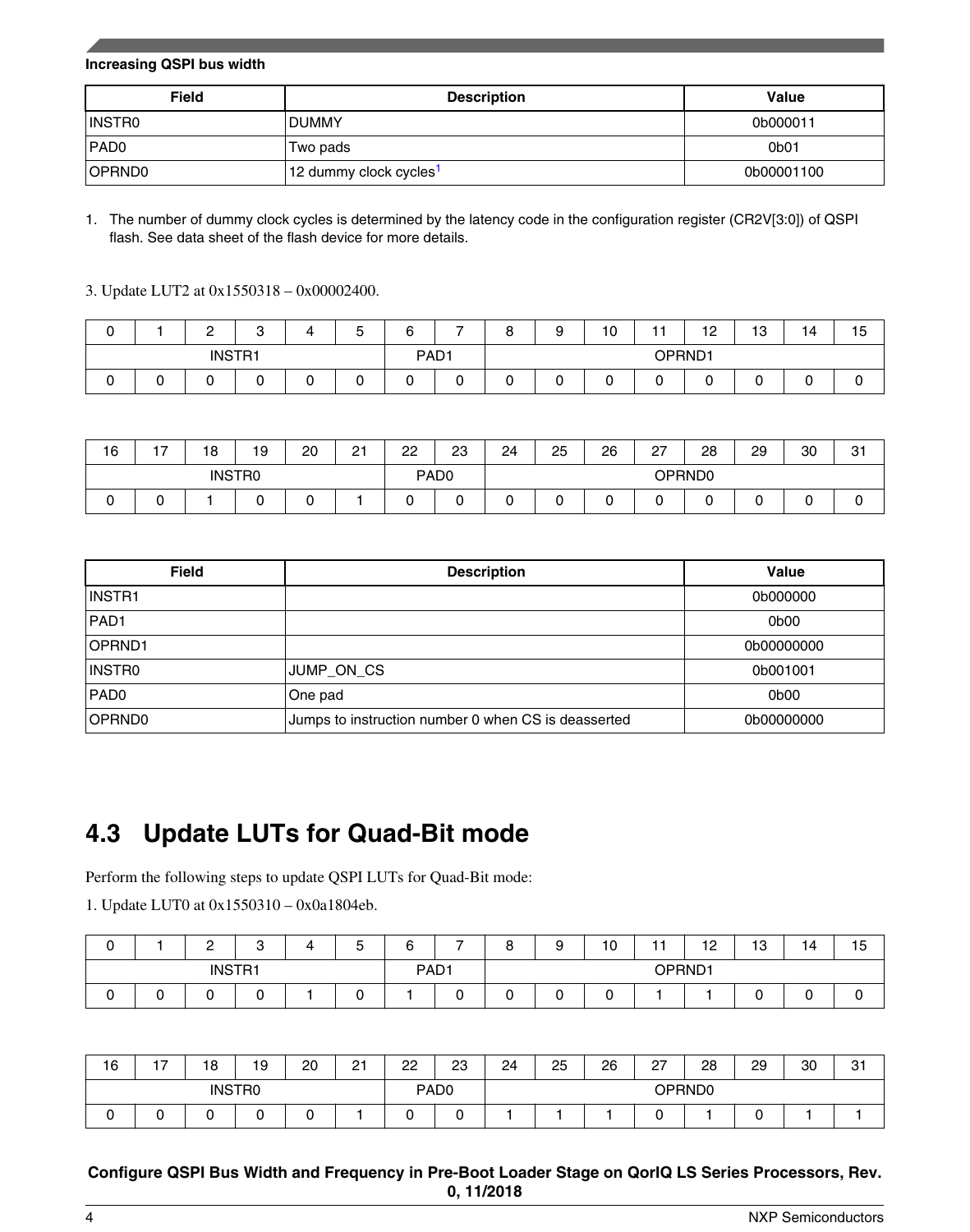#### **Increasing QSPI bus width**

| <b>Field</b>     | <b>Description</b>                 | Value            |
|------------------|------------------------------------|------------------|
| INSTRO           | <b>DUMMY</b>                       | 0b000011         |
| PAD <sub>0</sub> | Two pads                           | 0 <sub>b01</sub> |
| OPRND0           | 12 dummy clock cycles <sup>1</sup> | 0b00001100       |

1. The number of dummy clock cycles is determined by the latency code in the configuration register (CR2V[3:0]) of QSPI flash. See data sheet of the flash device for more details.

3. Update LUT2 at 0x1550318 – 0x00002400.

|               |        | ◠<br>- | ⌒<br>ບ | Δ      | -<br>∽<br>ັ      | ⌒<br>. .<br>o | - | $\circ$<br>O | a<br>s | 10     | - -    | 12<br>$\sim$ | $\overline{10}$<br>10 | $\rightarrow$<br>14 | 15 |
|---------------|--------|--------|--------|--------|------------------|---------------|---|--------------|--------|--------|--------|--------------|-----------------------|---------------------|----|
| <b>INSTR1</b> |        |        |        |        | PAD <sub>1</sub> |               |   |              |        | OPRND1 |        |              |                       |                     |    |
|               | ∽<br>ີ |        |        | -<br>ີ | ∽<br>⊾           |               | ີ | ∽<br>u       | ◡      | ີ      | -<br>u |              |                       | ີ                   |    |

| 16            | $\overline{\phantom{a}}$<br>'' | 18 | 19 | 20 | $^{\circ}$<br>$\epsilon$ | 22               | 23 | 24 | 25 | 26 | 27     | 28 | 29 | 30 | 0 <sub>1</sub><br>ا ت |
|---------------|--------------------------------|----|----|----|--------------------------|------------------|----|----|----|----|--------|----|----|----|-----------------------|
| <b>INSTRO</b> |                                |    |    |    |                          | PAD <sub>0</sub> |    |    |    |    | OPRND0 |    |    |    |                       |
|               | ັ                              |    |    | ີ  |                          |                  |    | ີ  | ∼  |    | ີ      |    |    |    |                       |

| <b>Field</b>     | <b>Description</b>                                  | Value                         |
|------------------|-----------------------------------------------------|-------------------------------|
| INSTR1           |                                                     | 0b000000                      |
| PAD <sub>1</sub> |                                                     | 0 <sub>b</sub> 0 <sub>0</sub> |
| OPRND1           |                                                     | 0b00000000                    |
| INSTR0           | JUMP ON CS                                          | 0b001001                      |
| PAD <sub>0</sub> | One pad                                             | 0 <sub>b</sub> 0 <sub>0</sub> |
| OPRND0           | Jumps to instruction number 0 when CS is deasserted | 0b00000000                    |

# **4.3 Update LUTs for Quad-Bit mode**

Perform the following steps to update QSPI LUTs for Quad-Bit mode:

1. Update LUT0 at 0x1550310 – 0x0a1804eb.

| $\overline{\phantom{0}}$<br>O | <u>_</u>      | $\sqrt{2}$<br>ັບ | -<br>ັ | ี<br>ັ           | - | ∽<br>O | ∽<br>У | 10 | - -<br>. . | 12<br>$\sim$ | $\overline{a}$<br>ن ا | - 4<br>14 | -<br>15 |
|-------------------------------|---------------|------------------|--------|------------------|---|--------|--------|----|------------|--------------|-----------------------|-----------|---------|
|                               | <b>INSTR1</b> |                  |        | PAD <sub>1</sub> |   |        |        |    | OPRND1     |              |                       |           |         |
| ⌒<br>υ                        |               | ີ                |        |                  |   | ∽      |        | ີ  |            |              | ີ                     | ີ         |         |

| 16 | $\rightarrow$<br>' ' | 18 | 19            | 20 | 21 | 22 | 23               | 24 | 25 | 26 | רמ<br>$\epsilon$ | 28     | 29 | 30 | 01<br>ا ت |
|----|----------------------|----|---------------|----|----|----|------------------|----|----|----|------------------|--------|----|----|-----------|
|    |                      |    | <b>INSTRO</b> |    |    |    | PAD <sub>0</sub> |    |    |    |                  | OPRND0 |    |    |           |
|    | ີ                    |    |               |    |    |    | ີ                |    |    |    |                  |        |    |    |           |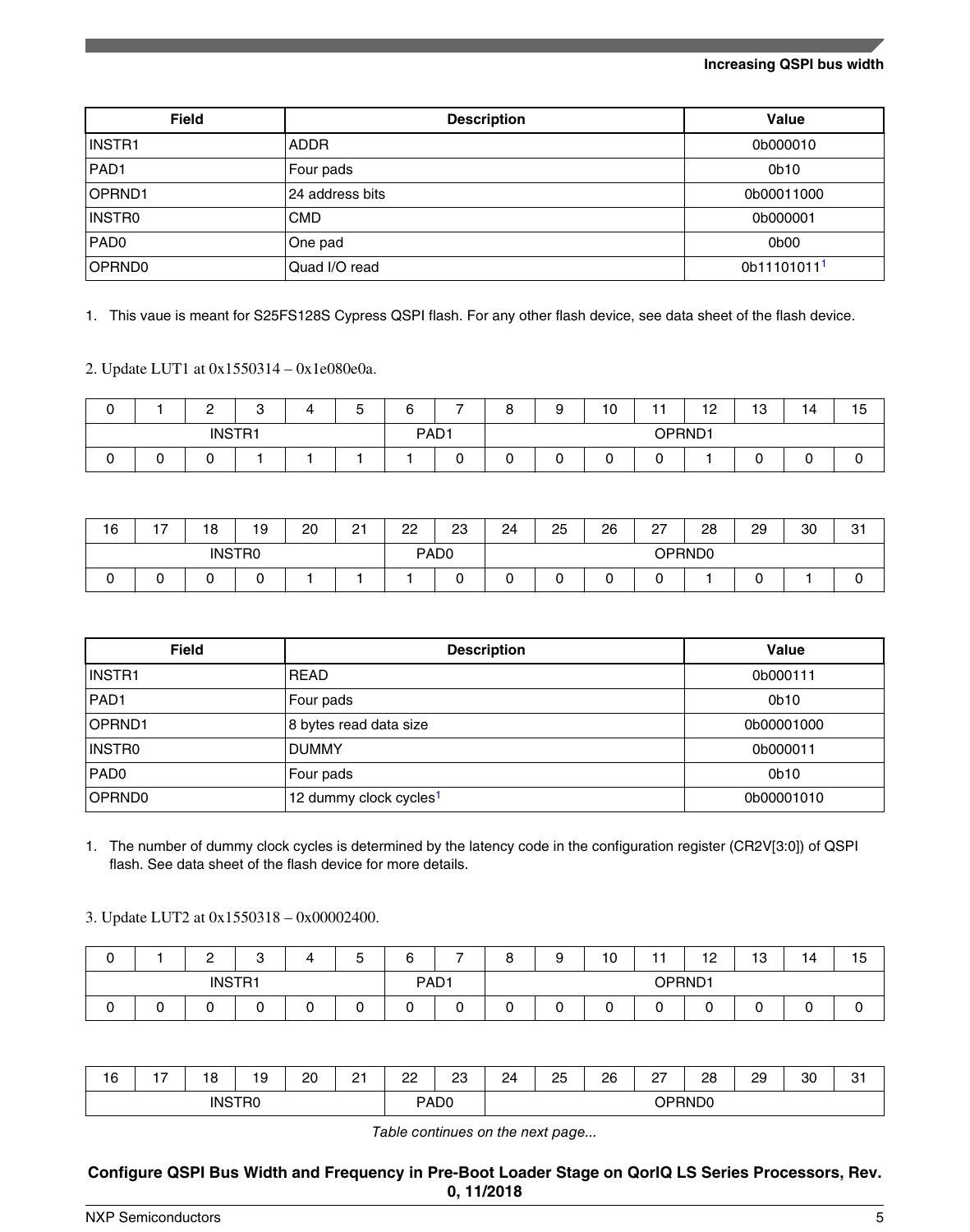#### **Increasing QSPI bus width**

| <b>Field</b>     | <b>Description</b> | Value                   |
|------------------|--------------------|-------------------------|
| INSTR1           | <b>ADDR</b>        | 0b000010                |
| <b>PAD1</b>      | Four pads          | 0b10                    |
| OPRND1           | 24 address bits    | 0b00011000              |
| INSTRO           | <b>CMD</b>         | 0b000001                |
| PAD <sub>0</sub> | One pad            | 0b00                    |
| OPRND0           | Quad I/O read      | 0b11101011 <sup>1</sup> |

1. This vaue is meant for S25FS128S Cypress QSPI flash. For any other flash device, see data sheet of the flash device.

2. Update LUT1 at 0x1550314 – 0x1e080e0a.

| ◠<br>ັ | C<br><u>.</u> | ◠<br>ບ | -<br>∽<br>J | ⌒<br><br>o       | - | $\circ$<br>o | a | 10 | - -<br>. . | 12<br>$\overline{\phantom{a}}$ | $\overline{10}$<br>10 | 14 | 15 |
|--------|---------------|--------|-------------|------------------|---|--------------|---|----|------------|--------------------------------|-----------------------|----|----|
|        | <b>INSTR1</b> |        |             | PAD <sub>1</sub> |   |              |   |    |            | OPRND1                         |                       |    |    |
| U      |               |        |             |                  |   | -<br>⊾       |   |    | ∽          |                                |                       |    |    |

| 16     | $\overline{ }$ | 18 | 19            | 20 | 21 | 22 | 23               | 24 | 25 | 26 | $\sim$<br>ا ے | 28     | 29 | 30 | 21<br>ا ت |
|--------|----------------|----|---------------|----|----|----|------------------|----|----|----|---------------|--------|----|----|-----------|
|        |                |    | <b>INSTRO</b> |    |    |    | PAD <sub>0</sub> |    |    |    |               | OPRND0 |    |    |           |
| ⌒<br>ັ |                |    | ∽             |    |    |    |                  |    |    | ◡  | ∽             |        |    |    |           |

| <b>Field</b>     | <b>Description</b>                 | Value            |
|------------------|------------------------------------|------------------|
| INSTR1           | <b>READ</b>                        | 0b000111         |
| PAD <sub>1</sub> | Four pads                          | 0 <sub>b10</sub> |
| OPRND1           | 8 bytes read data size             | 0b00001000       |
| INSTR0           | <b>DUMMY</b>                       | 0b000011         |
| PAD <sub>0</sub> | Four pads                          | 0 <sub>b10</sub> |
| OPRND0           | 12 dummy clock cycles <sup>1</sup> | 0b00001010       |

1. The number of dummy clock cycles is determined by the latency code in the configuration register (CR2V[3:0]) of QSPI flash. See data sheet of the flash device for more details.

3. Update LUT2 at 0x1550318 – 0x00002400.

| ັ | C<br><u>_</u> | ◠<br>ັ                            |   | -<br>∽<br>u | $\sim$<br> | - | $\Omega$<br>o | a | 10 | - -    | 12<br>$\sim$ | $\overline{a}$<br>10 | . .<br>14 | 15 |
|---|---------------|-----------------------------------|---|-------------|------------|---|---------------|---|----|--------|--------------|----------------------|-----------|----|
|   |               | <b>INSTR1</b><br>PAD <sub>1</sub> |   |             |            |   |               |   |    | OPRND1 |              |                      |           |    |
| ັ |               | ⊾                                 | ີ | u           |            | ີ | u             |   |    | ∽<br>∼ |              |                      | . .       |    |

| 16 | . – | 10<br>о       | 19 | 20 | n-<br><u>.</u> | nn<br><u>_ _</u> | nn<br>∠<br>_ | 24 | 25<br>__ | 26 | $\sim$<br>$\epsilon$ | 28<br>__ | 29 | 30 | $\sim$<br>ັບເ |
|----|-----|---------------|----|----|----------------|------------------|--------------|----|----------|----|----------------------|----------|----|----|---------------|
|    |     | <b>INSTRO</b> |    |    |                | PAD <sub>0</sub> |              |    |          |    |                      | OPRND0   |    |    |               |

*Table continues on the next page...*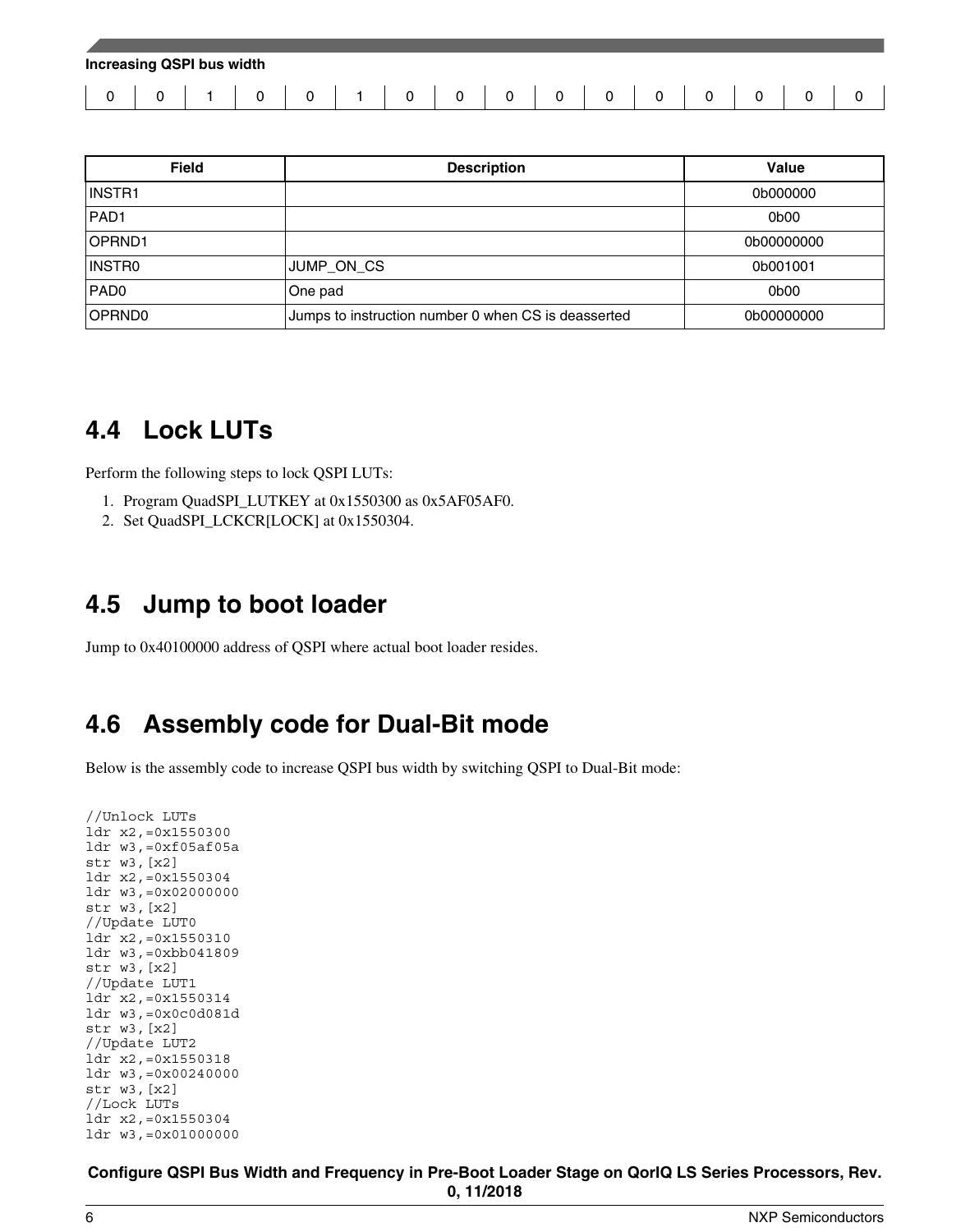| <b>Increasing QSPI bus width</b> |  |          |             |  |          |          |          |          |          |          |          |  |  |  |
|----------------------------------|--|----------|-------------|--|----------|----------|----------|----------|----------|----------|----------|--|--|--|
|                                  |  | $\Omega$ | $\mathbf 0$ |  | $\Omega$ | $\Omega$ | $\Omega$ | $\Omega$ | $\Omega$ | $\Omega$ | $\Omega$ |  |  |  |

| <b>Field</b>     | <b>Description</b>                                  | Value      |
|------------------|-----------------------------------------------------|------------|
| INSTR1           |                                                     | 0b000000   |
| PAD <sub>1</sub> |                                                     | 0b00       |
| OPRND1           |                                                     | 0b00000000 |
| INSTRO           | JUMP ON CS                                          | 0b001001   |
| PAD <sub>0</sub> | One pad                                             | 0b00       |
| OPRND0           | Jumps to instruction number 0 when CS is deasserted | 0b00000000 |

### **4.4 Lock LUTs**

Perform the following steps to lock QSPI LUTs:

- 1. Program QuadSPI\_LUTKEY at 0x1550300 as 0x5AF05AF0.
- 2. Set QuadSPI\_LCKCR[LOCK] at 0x1550304.

### **4.5 Jump to boot loader**

Jump to 0x40100000 address of QSPI where actual boot loader resides.

### **4.6 Assembly code for Dual-Bit mode**

Below is the assembly code to increase QSPI bus width by switching QSPI to Dual-Bit mode:

```
//Unlock LUTs
ldr x2,=0x1550300
ldr w3,=0xf05af05a
str w3,[x2]
ldr x2,=0x1550304
ldr w3,=0x02000000
str w3,[x2]
//Update LUT0
ldr x2,=0x1550310
ldr w3,=0xbb041809
str w3,[x2]
//Update LUT1
ldr x2,=0x1550314
ldr w3,=0x0c0d081d
str w3,[x2]
//Update LUT2
ldr x2,=0x1550318
ldr w3,=0x00240000
str w3,[x2]
//Lock LUTs
ldr x2,=0x1550304
ldr w3,=0x01000000
```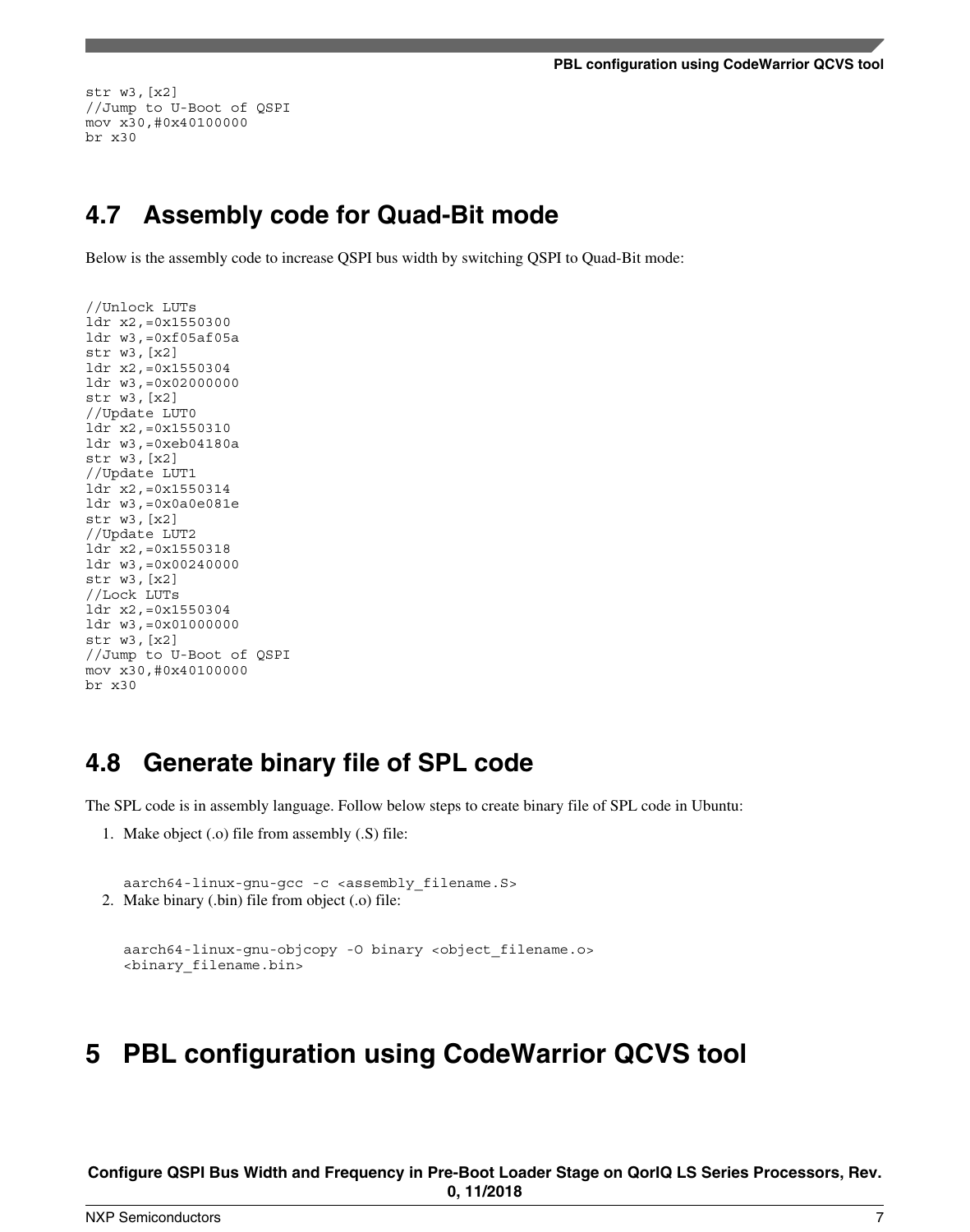<span id="page-6-0"></span>str w3,[x2] //Jump to U-Boot of QSPI mov x30,#0x40100000 br x30

### **4.7 Assembly code for Quad-Bit mode**

Below is the assembly code to increase QSPI bus width by switching QSPI to Quad-Bit mode:

```
//Unlock LUTs
ldr x2,=0x1550300
ldr w3,=0xf05af05a
str w3,[x2]
ldr x2,=0x1550304
ldr w3,=0x02000000
str w3,[x2]
//Update LUT0
ldr x2,=0x1550310
ldr w3,=0xeb04180a
str w3,[x2]
//Update LUT1
ldr x2,=0x1550314
ldr w3,=0x0a0e081e
str w3,[x2]
//Update LUT2
ldr x2,=0x1550318
ldr w3,=0x00240000
str w3,[x2]
//Lock LUTs
ldr x2,=0x1550304
ldr w3,=0x01000000
str w3,[x2]
//Jump to U-Boot of QSPI 
mov x30,#0x40100000
br x30
```
### **4.8 Generate binary file of SPL code**

The SPL code is in assembly language. Follow below steps to create binary file of SPL code in Ubuntu:

1. Make object (.o) file from assembly (.S) file:

```
aarch64-linux-gnu-gcc -c <assembly_filename.S> 
2. Make binary (.bin) file from object (.o) file:
```

```
aarch64-linux-gnu-objcopy -O binary <object_filename.o> 
<binary_filename.bin>
```
### **5 PBL configuration using CodeWarrior QCVS tool**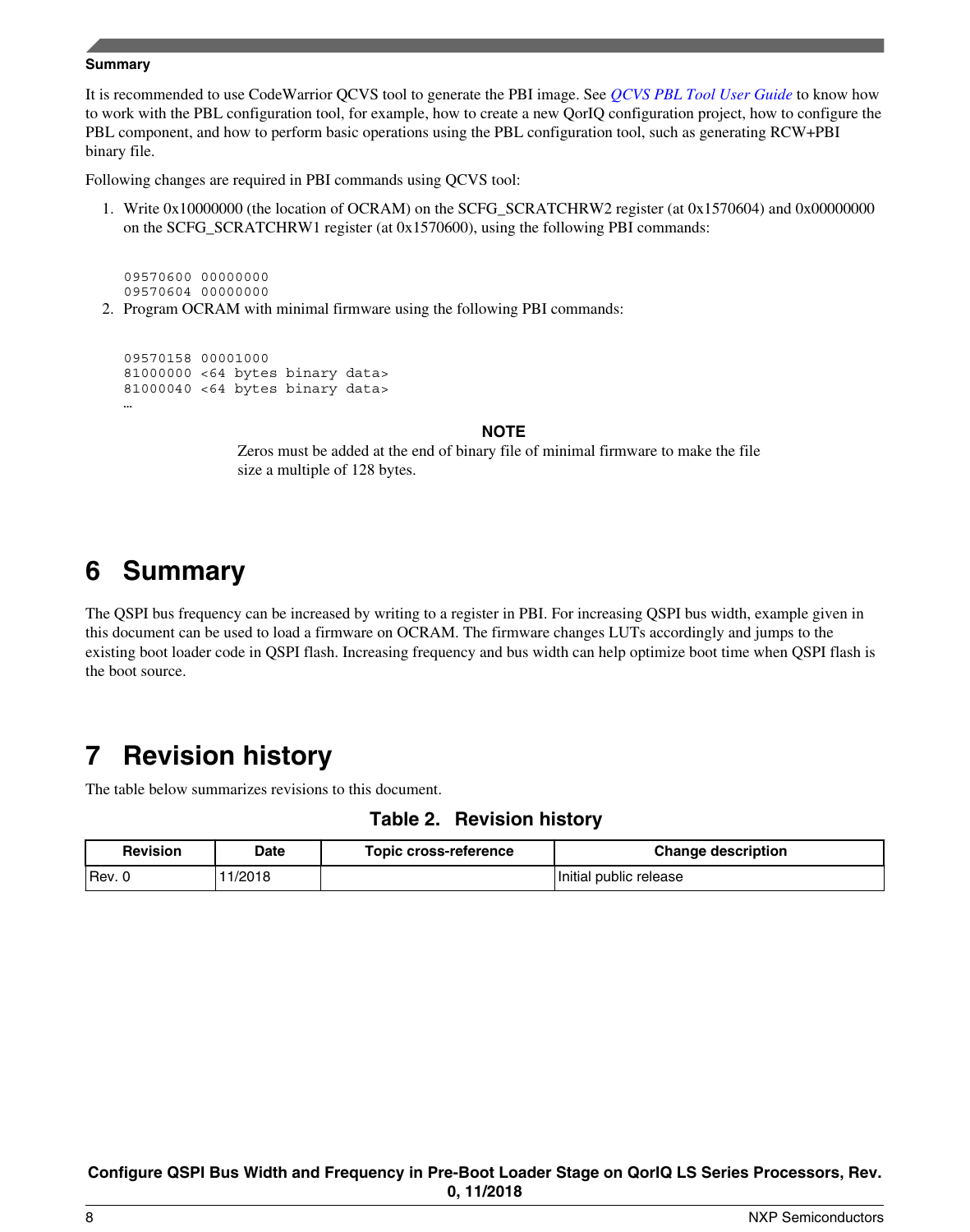#### <span id="page-7-0"></span>**Summary**

It is recommended to use CodeWarrior QCVS tool to generate the PBI image. See *[QCVS PBL Tool User Guide](https://www.nxp.com/docs/en/user-guide/QCVS_PBL_User_Guide.pdf)* to know how to work with the PBL configuration tool, for example, how to create a new QorIQ configuration project, how to configure the PBL component, and how to perform basic operations using the PBL configuration tool, such as generating RCW+PBI binary file.

Following changes are required in PBI commands using QCVS tool:

1. Write 0x10000000 (the location of OCRAM) on the SCFG\_SCRATCHRW2 register (at 0x1570604) and 0x00000000 on the SCFG\_SCRATCHRW1 register (at 0x1570600), using the following PBI commands:

09570600 00000000 09570604 00000000

2. Program OCRAM with minimal firmware using the following PBI commands:

09570158 00001000 81000000 <64 bytes binary data> 81000040 <64 bytes binary data> …

#### **NOTE**

Zeros must be added at the end of binary file of minimal firmware to make the file size a multiple of 128 bytes.

# **6 Summary**

The QSPI bus frequency can be increased by writing to a register in PBI. For increasing QSPI bus width, example given in this document can be used to load a firmware on OCRAM. The firmware changes LUTs accordingly and jumps to the existing boot loader code in QSPI flash. Increasing frequency and bus width can help optimize boot time when QSPI flash is the boot source.

# **7 Revision history**

The table below summarizes revisions to this document.

### **Table 2. Revision history**

| <b>Revision</b> | <b>Date</b> | <b>Topic cross-reference</b> | <b>Change description</b> |
|-----------------|-------------|------------------------------|---------------------------|
| 'Rev.           | 1/2018      |                              | Initial public release    |